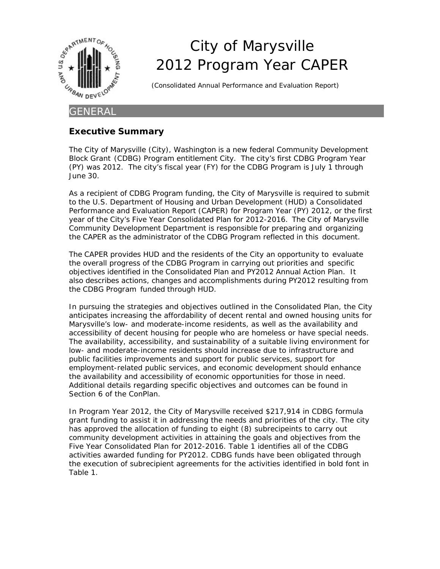

# City of Marysville 2012 Program Year CAPER

(Consolidated Annual Performance and Evaluation Report)

#### **GENERAL**

#### **Executive Summary**

The City of Marysville (City), Washington is a new federal Community Development Block Grant (CDBG) Program entitlement City. The city's first CDBG Program Year (PY) was 2012. The city's fiscal year (FY) for the CDBG Program is July 1 through June 30.

As a recipient of CDBG Program funding, the City of Marysville is required to submit to the U.S. Department of Housing and Urban Development (HUD) a Consolidated Performance and Evaluation Report (CAPER) for Program Year (PY) 2012, or the first year of the City's Five Year Consolidated Plan for 2012-2016. The City of Marysville Community Development Department is responsible for preparing and organizing the CAPER as the administrator of the CDBG Program reflected in this document.

The CAPER provides HUD and the residents of the City an opportunity to evaluate the overall progress of the CDBG Program in carrying out priorities and specific objectives identified in the Consolidated Plan and PY2012 Annual Action Plan. It also describes actions, changes and accomplishments during PY2012 resulting from the CDBG Program funded through HUD.

In pursuing the strategies and objectives outlined in the Consolidated Plan, the City anticipates increasing the affordability of decent rental and owned housing units for Marysville's low- and moderate-income residents, as well as the availability and accessibility of decent housing for people who are homeless or have special needs. The availability, accessibility, and sustainability of a suitable living environment for low- and moderate-income residents should increase due to infrastructure and public facilities improvements and support for public services, support for employment-related public services, and economic development should enhance the availability and accessibility of economic opportunities for those in need. Additional details regarding specific objectives and outcomes can be found in Section 6 of the ConPlan.

In Program Year 2012, the City of Marysville received \$217,914 in CDBG formula grant funding to assist it in addressing the needs and priorities of the city. The city has approved the allocation of funding to eight (8) subrecipeints to carry out community development activities in attaining the goals and objectives from the Five Year Consolidated Plan for 2012-2016. Table 1 identifies all of the CDBG activities awarded funding for PY2012. CDBG funds have been obligated through the execution of subrecipient agreements for the activities identified in bold font in Table 1.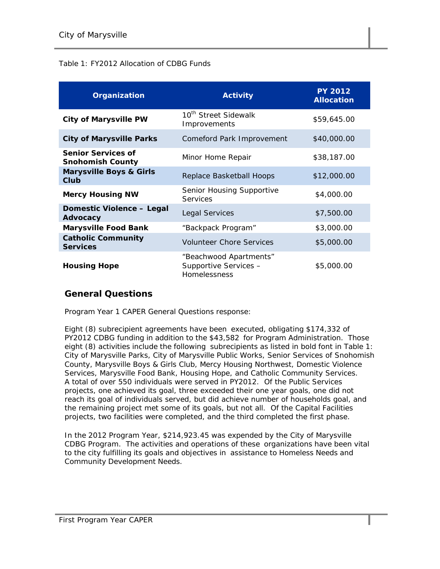#### Table 1: FY2012 Allocation of CDBG Funds

| Organization                                         | <b>Activity</b>                                                 | <b>PY 2012</b><br><b>Allocation</b> |
|------------------------------------------------------|-----------------------------------------------------------------|-------------------------------------|
| <b>City of Marysville PW</b>                         | 10 <sup>th</sup> Street Sidewalk<br>Improvements                | \$59,645.00                         |
| <b>City of Marysville Parks</b>                      | Comeford Park Improvement                                       | \$40,000.00                         |
| <b>Senior Services of</b><br><b>Snohomish County</b> | Minor Home Repair                                               | \$38,187.00                         |
| <b>Marysville Boys &amp; Girls</b><br>Club           | Replace Basketball Hoops                                        | \$12,000.00                         |
| <b>Mercy Housing NW</b>                              | Senior Housing Supportive<br>Services                           | \$4,000.00                          |
| Domestic Violence - Legal<br>Advocacy                | Legal Services                                                  | \$7,500.00                          |
| <b>Marysville Food Bank</b>                          | "Backpack Program"                                              | \$3,000.00                          |
| <b>Catholic Community</b><br><b>Services</b>         | <b>Volunteer Chore Services</b>                                 | \$5,000.00                          |
| <b>Housing Hope</b>                                  | "Beachwood Apartments"<br>Supportive Services -<br>Homelessness | \$5,000.00                          |

#### **General Questions**

Program Year 1 CAPER General Questions response:

Eight (8) subrecipient agreements have been executed, obligating \$174,332 of PY2012 CDBG funding in addition to the \$43,582 for Program Administration. Those eight (8) activities include the following subrecipients as listed in bold font in Table 1: City of Marysville Parks, City of Marysville Public Works, Senior Services of Snohomish County, Marysville Boys & Girls Club, Mercy Housing Northwest, Domestic Violence Services, Marysville Food Bank, Housing Hope, and Catholic Community Services. A total of over 550 individuals were served in PY2012. Of the Public Services projects, one achieved its goal, three exceeded their one year goals, one did not reach its goal of individuals served, but did achieve number of households goal, and the remaining project met some of its goals, but not all. Of the Capital Facilities projects, two facilities were completed, and the third completed the first phase.

In the 2012 Program Year, \$214,923.45 was expended by the City of Marysville CDBG Program. The activities and operations of these organizations have been vital to the city fulfilling its goals and objectives in assistance to Homeless Needs and Community Development Needs.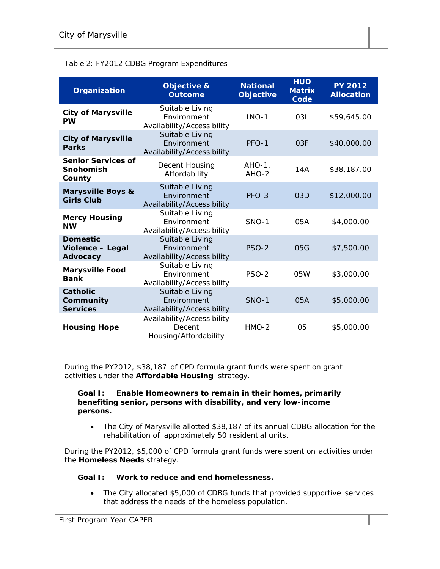#### Table 2: FY2012 CDBG Program Expenditures

| Organization                                      | <b>Objective &amp;</b><br><b>Outcome</b>                      | <b>National</b><br><b>Objective</b> | <b>HUD</b><br><b>Matrix</b><br>Code | <b>PY 2012</b><br><b>Allocation</b> |
|---------------------------------------------------|---------------------------------------------------------------|-------------------------------------|-------------------------------------|-------------------------------------|
| <b>City of Marysville</b><br><b>PW</b>            | Suitable Living<br>Environment<br>Availability/Accessibility  | $INO-1$                             | 03L                                 | \$59,645.00                         |
| <b>City of Marysville</b><br><b>Parks</b>         | Suitable Living<br>Environment<br>Availability/Accessibility  | PFO-1                               | 03F                                 | \$40,000.00                         |
| <b>Senior Services of</b><br>Snohomish<br>County  | Decent Housing<br>Affordability                               | $AHO-1$ ,<br>$AHO-2$                | 14A                                 | \$38,187.00                         |
| <b>Marysville Boys &amp;</b><br><b>Girls Club</b> | Suitable Living<br>Fnvironment<br>Availability/Accessibility  | $PFO-3$                             | 03D                                 | \$12,000.00                         |
| <b>Mercy Housing</b><br><b>NW</b>                 | Suitable Living<br>Environment<br>Availability/Accessibility  | $SNO-1$                             | 05A                                 | \$4,000.00                          |
| <b>Domestic</b><br>Violence - Legal<br>Advocacy   | Suitable Living<br>Fnvironment<br>Availability/Accessibility  | <b>PSO-2</b>                        | 05G                                 | \$7,500.00                          |
| <b>Marysville Food</b><br><b>Bank</b>             | Suitable Living<br>Fnvironment<br>Availability/Accessibility  | PSO-2                               | 05W                                 | \$3,000.00                          |
| <b>Catholic</b><br>Community<br><b>Services</b>   | Suitable Living<br>Environment<br>Availability/Accessibility  | <b>SNO-1</b>                        | 05A                                 | \$5,000.00                          |
| <b>Housing Hope</b>                               | Availability/Accessibility<br>Decent<br>Housing/Affordability | $HMO-2$                             | 0 <sub>5</sub>                      | \$5,000.00                          |

During the PY2012, \$38,187 of CPD formula grant funds were spent on grant activities under the *Affordable Housing* strategy.

#### **Goal I: Enable Homeowners to remain in their homes, primarily benefiting senior, persons with disability, and very low-income persons.**

 The City of Marysville allotted \$38,187 of its annual CDBG allocation for the rehabilitation of approximately 50 residential units.

During the PY2012, \$5,000 of CPD formula grant funds were spent on activities under the *Homeless Needs* strategy.

#### **Goal I: Work to reduce and end homelessness.**

 The City allocated \$5,000 of CDBG funds that provided supportive services that address the needs of the homeless population.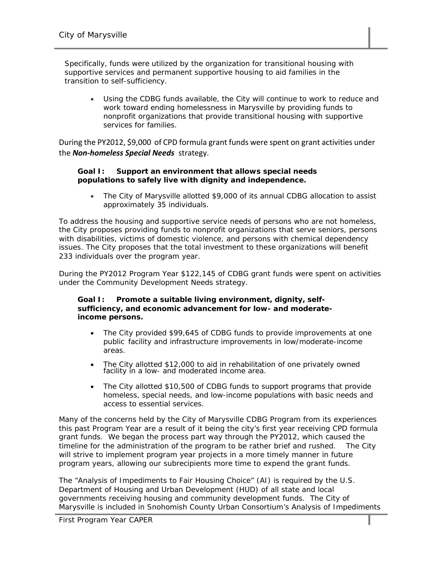Specifically, funds were utilized by the organization for transitional housing with supportive services and permanent supportive housing to aid families in the transition to self-sufficiency.

 Using the CDBG funds available, the City will continue to work to reduce and work toward ending homelessness in Marysville by providing funds to nonprofit organizations that provide transitional housing with supportive services for families.

During the PY2012, \$9,000 of CPD formula grant funds were spent on grant activities under the *Non‐homeless Special Needs* strategy.

#### **Goal I: Support an environment that allows special needs populations to safely live with dignity and independence.**

 The City of Marysville allotted \$9,000 of its annual CDBG allocation to assist approximately 35 individuals.

To address the housing and supportive service needs of persons who are not homeless, the City proposes providing funds to nonprofit organizations that serve seniors, persons with disabilities, victims of domestic violence, and persons with chemical dependency issues. The City proposes that the total investment to these organizations will benefit 233 individuals over the program year.

During the PY2012 Program Year \$122,145 of CDBG grant funds were spent on activities under the Community Development Needs strategy.

#### **Goal I: Promote a suitable living environment, dignity, selfsufficiency, and economic advancement for low- and moderateincome persons.**

- The City provided \$99,645 of CDBG funds to provide improvements at one public facility and infrastructure improvements in low/moderate-income areas.
- The City allotted \$12,000 to aid in rehabilitation of one privately owned facility in a low- and moderated income area.
- The City allotted \$10,500 of CDBG funds to support programs that provide homeless, special needs, and low-income populations with basic needs and access to essential services.

Many of the concerns held by the City of Marysville CDBG Program from its experiences this past Program Year are a result of it being the city's first year receiving CPD formula grant funds. We began the process part way through the PY2012, which caused the timeline for the administration of the program to be rather brief and rushed. The City will strive to implement program year projects in a more timely manner in future program years, allowing our subrecipients more time to expend the grant funds.

The "Analysis of Impediments to Fair Housing Choice" (AI) is required by the U.S. Department of Housing and Urban Development (HUD) of all state and local governments receiving housing and community development funds. The City of Marysville is included in Snohomish County Urban Consortium's Analysis of Impediments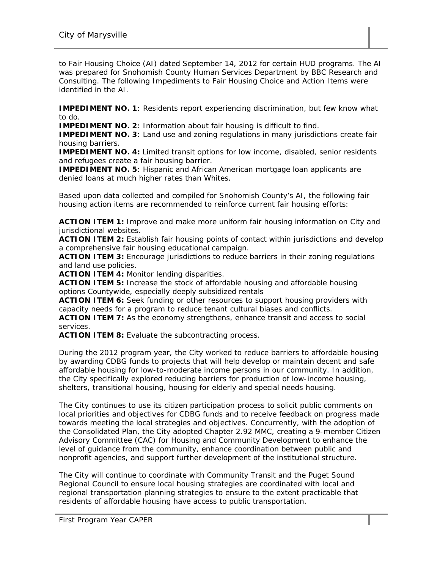to Fair Housing Choice (AI) dated September 14, 2012 for certain HUD programs. The AI was prepared for Snohomish County Human Services Department by BBC Research and Consulting. The following Impediments to Fair Housing Choice and Action Items were identified in the AI.

**IMPEDIMENT NO. 1: Residents report experiencing discrimination, but few know what** to do.

**IMPEDIMENT NO. 2**: Information about fair housing is difficult to find.

**IMPEDIMENT NO. 3:** Land use and zoning regulations in many jurisdictions create fair housing barriers.

**IMPEDIMENT NO. 4:** Limited transit options for low income, disabled, senior residents and refugees create a fair housing barrier.

**IMPEDIMENT NO. 5**: Hispanic and African American mortgage loan applicants are denied loans at much higher rates than Whites.

Based upon data collected and compiled for Snohomish County's AI, the following fair housing action items are recommended to reinforce current fair housing efforts:

**ACTION ITEM 1:** Improve and make more uniform fair housing information on City and jurisdictional websites.

**ACTION ITEM 2:** Establish fair housing points of contact within jurisdictions and develop a comprehensive fair housing educational campaign.

**ACTION ITEM 3:** Encourage jurisdictions to reduce barriers in their zoning regulations and land use policies.

**ACTION ITEM 4:** Monitor lending disparities.

**ACTION ITEM 5:** Increase the stock of affordable housing and affordable housing options Countywide, especially deeply subsidized rentals

**ACTION ITEM 6:** Seek funding or other resources to support housing providers with capacity needs for a program to reduce tenant cultural biases and conflicts.

**ACTION ITEM 7:** As the economy strengthens, enhance transit and access to social services.

**ACTION ITEM 8:** Evaluate the subcontracting process.

During the 2012 program year, the City worked to reduce barriers to affordable housing by awarding CDBG funds to projects that will help develop or maintain decent and safe affordable housing for low-to-moderate income persons in our community. In addition, the City specifically explored reducing barriers for production of low-income housing, shelters, transitional housing, housing for elderly and special needs housing.

The City continues to use its citizen participation process to solicit public comments on local priorities and objectives for CDBG funds and to receive feedback on progress made towards meeting the local strategies and objectives. Concurrently, with the adoption of the Consolidated Plan, the City adopted Chapter 2.92 MMC, creating a 9-member Citizen Advisory Committee (CAC) for Housing and Community Development to enhance the level of guidance from the community, enhance coordination between public and nonprofit agencies, and support further development of the institutional structure.

The City will continue to coordinate with Community Transit and the Puget Sound Regional Council to ensure local housing strategies are coordinated with local and regional transportation planning strategies to ensure to the extent practicable that residents of affordable housing have access to public transportation.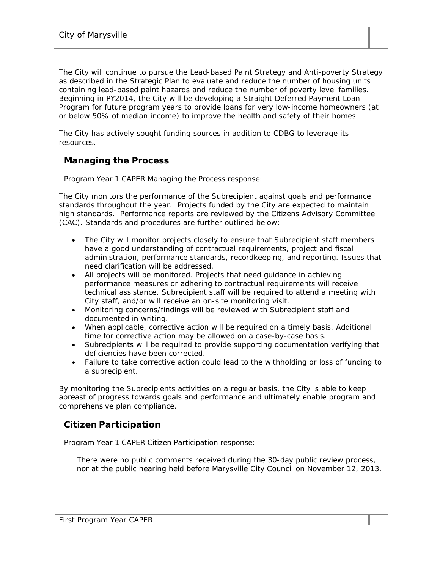The City will continue to pursue the Lead-based Paint Strategy and Anti-poverty Strategy as described in the Strategic Plan to evaluate and reduce the number of housing units containing lead-based paint hazards and reduce the number of poverty level families. Beginning in PY2014, the City will be developing a Straight Deferred Payment Loan Program for future program years to provide loans for very low-income homeowners (at or below 50% of median income) to improve the health and safety of their homes.

The City has actively sought funding sources in addition to CDBG to leverage its resources.

#### **Managing the Process**

Program Year 1 CAPER Managing the Process response:

The City monitors the performance of the Subrecipient against goals and performance standards throughout the year. Projects funded by the City are expected to maintain high standards. Performance reports are reviewed by the Citizens Advisory Committee (CAC). Standards and procedures are further outlined below:

- The City will monitor projects closely to ensure that Subrecipient staff members have a good understanding of contractual requirements, project and fiscal administration, performance standards, recordkeeping, and reporting. Issues that need clarification will be addressed.
- All projects will be monitored. Projects that need guidance in achieving performance measures or adhering to contractual requirements will receive technical assistance. Subrecipient staff will be required to attend a meeting with City staff, and/or will receive an on-site monitoring visit.
- Monitoring concerns/findings will be reviewed with Subrecipient staff and documented in writing.
- When applicable, corrective action will be required on a timely basis. Additional time for corrective action may be allowed on a case-by-case basis.
- Subrecipients will be required to provide supporting documentation verifying that deficiencies have been corrected.
- Failure to take corrective action could lead to the withholding or loss of funding to a subrecipient.

By monitoring the Subrecipients activities on a regular basis, the City is able to keep abreast of progress towards goals and performance and ultimately enable program and comprehensive plan compliance.

#### **Citizen Participation**

Program Year 1 CAPER Citizen Participation response:

There were no public comments received during the 30-day public review process, nor at the public hearing held before Marysville City Council on November 12, 2013.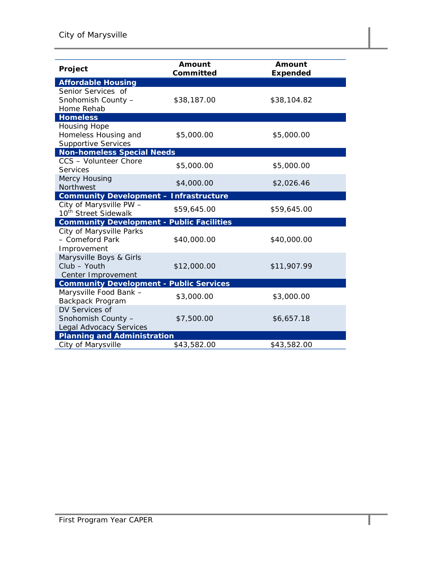| Project                                                                | Amount<br>Committed | Amount<br><b>Expended</b> |  |  |  |
|------------------------------------------------------------------------|---------------------|---------------------------|--|--|--|
| <b>Affordable Housing</b>                                              |                     |                           |  |  |  |
| Senior Services of<br>Snohomish County -<br>Home Rehab                 | \$38,187.00         | \$38,104.82               |  |  |  |
| <b>Homeless</b>                                                        |                     |                           |  |  |  |
| Housing Hope<br>Homeless Housing and<br><b>Supportive Services</b>     | \$5,000.00          | \$5,000.00                |  |  |  |
| <b>Non-homeless Special Needs</b>                                      |                     |                           |  |  |  |
| CCS - Volunteer Chore<br><b>Services</b>                               | \$5,000.00          | \$5,000.00                |  |  |  |
| Mercy Housing<br><b>Northwest</b>                                      | \$4,000.00          | \$2,026.46                |  |  |  |
| <b>Community Development - Infrastructure</b>                          |                     |                           |  |  |  |
| City of Marysville PW -<br>10 <sup>th</sup> Street Sidewalk            | \$59,645.00         | \$59,645.00               |  |  |  |
| <b>Community Development - Public Facilities</b>                       |                     |                           |  |  |  |
| City of Marysville Parks<br>- Comeford Park<br>Improvement             | \$40,000.00         | \$40,000.00               |  |  |  |
| Marysville Boys & Girls<br>Club - Youth<br>Center Improvement          | \$12,000.00         | \$11,907.99               |  |  |  |
| <b>Community Development - Public Services</b>                         |                     |                           |  |  |  |
| Marysville Food Bank -<br>Backpack Program                             | \$3,000.00          | \$3,000.00                |  |  |  |
| DV Services of<br>Snohomish County -<br><b>Legal Advocacy Services</b> | \$7,500.00          | \$6,657.18                |  |  |  |
| <b>Planning and Administration</b>                                     |                     |                           |  |  |  |
| City of Marysville                                                     | \$43,582.00         | \$43,582.00               |  |  |  |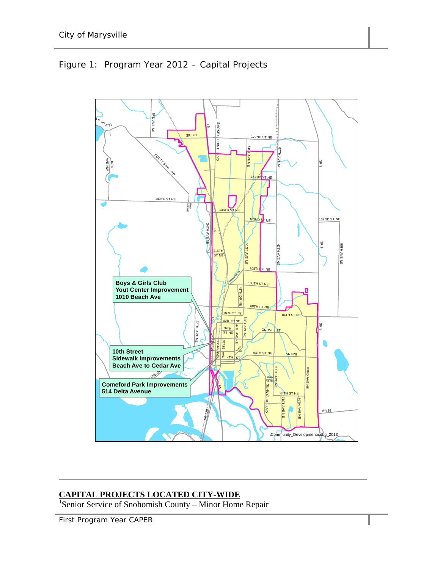

# Figure 1: Program Year 2012 – Capital Projects

**CAPITAL PROJECTS LOCATED CITY-WIDE** 1 Senior Service of Snohomish County – Minor Home Repair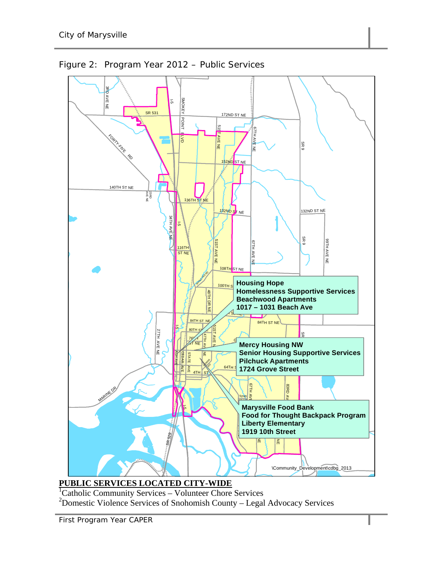

Figure 2: Program Year 2012 – Public Services

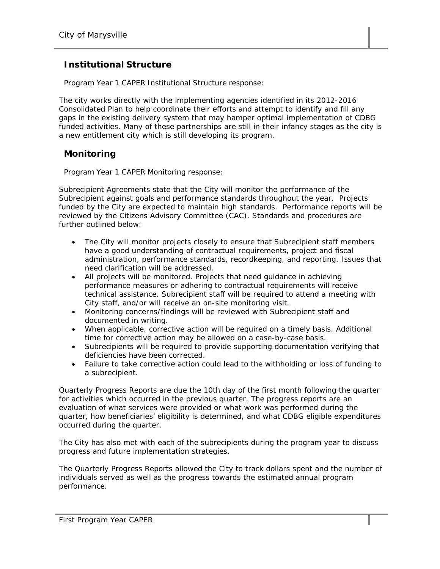#### **Institutional Structure**

Program Year 1 CAPER Institutional Structure response:

The city works directly with the implementing agencies identified in its 2012-2016 Consolidated Plan to help coordinate their efforts and attempt to identify and fill any gaps in the existing delivery system that may hamper optimal implementation of CDBG funded activities. Many of these partnerships are still in their infancy stages as the city is a new entitlement city which is still developing its program.

#### **Monitoring**

Program Year 1 CAPER Monitoring response:

Subrecipient Agreements state that the City will monitor the performance of the Subrecipient against goals and performance standards throughout the year. Projects funded by the City are expected to maintain high standards. Performance reports will be reviewed by the Citizens Advisory Committee (CAC). Standards and procedures are further outlined below:

- The City will monitor projects closely to ensure that Subrecipient staff members have a good understanding of contractual requirements, project and fiscal administration, performance standards, recordkeeping, and reporting. Issues that need clarification will be addressed.
- All projects will be monitored. Projects that need guidance in achieving performance measures or adhering to contractual requirements will receive technical assistance. Subrecipient staff will be required to attend a meeting with City staff, and/or will receive an on-site monitoring visit.
- Monitoring concerns/findings will be reviewed with Subrecipient staff and documented in writing.
- When applicable, corrective action will be required on a timely basis. Additional time for corrective action may be allowed on a case-by-case basis.
- Subrecipients will be required to provide supporting documentation verifying that deficiencies have been corrected.
- Failure to take corrective action could lead to the withholding or loss of funding to a subrecipient.

Quarterly Progress Reports are due the 10th day of the first month following the quarter for activities which occurred in the previous quarter. The progress reports are an evaluation of what services were provided or what work was performed during the quarter, how beneficiaries' eligibility is determined, and what CDBG eligible expenditures occurred during the quarter.

The City has also met with each of the subrecipients during the program year to discuss progress and future implementation strategies.

The Quarterly Progress Reports allowed the City to track dollars spent and the number of individuals served as well as the progress towards the estimated annual program performance.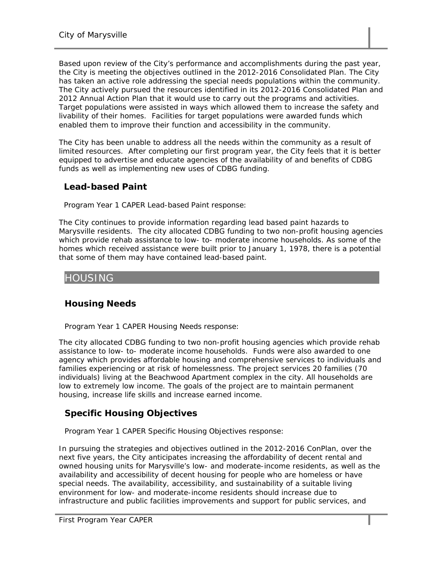Based upon review of the City's performance and accomplishments during the past year, the City is meeting the objectives outlined in the 2012-2016 Consolidated Plan. The City has taken an active role addressing the special needs populations within the community. The City actively pursued the resources identified in its 2012-2016 Consolidated Plan and 2012 Annual Action Plan that it would use to carry out the programs and activities. Target populations were assisted in ways which allowed them to increase the safety and livability of their homes. Facilities for target populations were awarded funds which enabled them to improve their function and accessibility in the community.

The City has been unable to address all the needs within the community as a result of limited resources. After completing our first program year, the City feels that it is better equipped to advertise and educate agencies of the availability of and benefits of CDBG funds as well as implementing new uses of CDBG funding.

#### **Lead-based Paint**

Program Year 1 CAPER Lead-based Paint response:

The City continues to provide information regarding lead based paint hazards to Marysville residents. The city allocated CDBG funding to two non-profit housing agencies which provide rehab assistance to low- to- moderate income households. As some of the homes which received assistance were built prior to January 1, 1978, there is a potential that some of them may have contained lead-based paint.

# HOUSING

# **Housing Needs**

Program Year 1 CAPER Housing Needs response:

The city allocated CDBG funding to two non-profit housing agencies which provide rehab assistance to low- to- moderate income households. Funds were also awarded to one agency which provides affordable housing and comprehensive services to individuals and families experiencing or at risk of homelessness. The project services 20 families (70 individuals) living at the Beachwood Apartment complex in the city. All households are low to extremely low income. The goals of the project are to maintain permanent housing, increase life skills and increase earned income.

# **Specific Housing Objectives**

Program Year 1 CAPER Specific Housing Objectives response:

In pursuing the strategies and objectives outlined in the 2012-2016 ConPlan, over the next five years, the City anticipates increasing the affordability of decent rental and owned housing units for Marysville's low- and moderate-income residents, as well as the availability and accessibility of decent housing for people who are homeless or have special needs. The availability, accessibility, and sustainability of a suitable living environment for low- and moderate-income residents should increase due to infrastructure and public facilities improvements and support for public services, and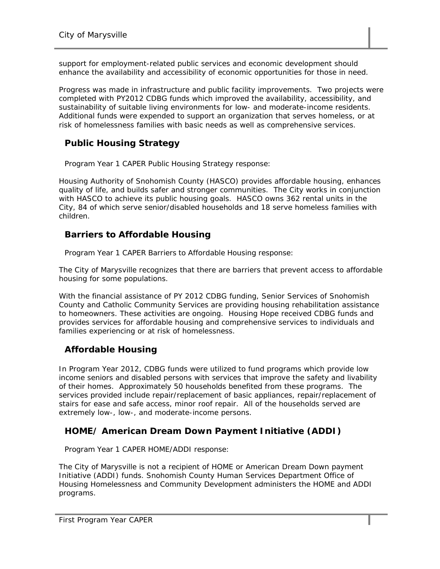support for employment-related public services and economic development should enhance the availability and accessibility of economic opportunities for those in need.

Progress was made in infrastructure and public facility improvements. Two projects were completed with PY2012 CDBG funds which improved the availability, accessibility, and sustainability of suitable living environments for low- and moderate-income residents. Additional funds were expended to support an organization that serves homeless, or at risk of homelessness families with basic needs as well as comprehensive services.

#### **Public Housing Strategy**

Program Year 1 CAPER Public Housing Strategy response:

Housing Authority of Snohomish County (HASCO) provides affordable housing, enhances quality of life, and builds safer and stronger communities. The City works in conjunction with HASCO to achieve its public housing goals. HASCO owns 362 rental units in the City, 84 of which serve senior/disabled households and 18 serve homeless families with children.

#### **Barriers to Affordable Housing**

Program Year 1 CAPER Barriers to Affordable Housing response:

The City of Marysville recognizes that there are barriers that prevent access to affordable housing for some populations.

With the financial assistance of PY 2012 CDBG funding, Senior Services of Snohomish County and Catholic Community Services are providing housing rehabilitation assistance to homeowners. These activities are ongoing. Housing Hope received CDBG funds and provides services for affordable housing and comprehensive services to individuals and families experiencing or at risk of homelessness.

#### **Affordable Housing**

In Program Year 2012, CDBG funds were utilized to fund programs which provide low income seniors and disabled persons with services that improve the safety and livability of their homes. Approximately 50 households benefited from these programs. The services provided include repair/replacement of basic appliances, repair/replacement of stairs for ease and safe access, minor roof repair. All of the households served are extremely low-, low-, and moderate-income persons.

# **HOME/ American Dream Down Payment Initiative (ADDI)**

Program Year 1 CAPER HOME/ADDI response:

The City of Marysville is not a recipient of HOME or American Dream Down payment Initiative (ADDI) funds. Snohomish County Human Services Department Office of Housing Homelessness and Community Development administers the HOME and ADDI programs.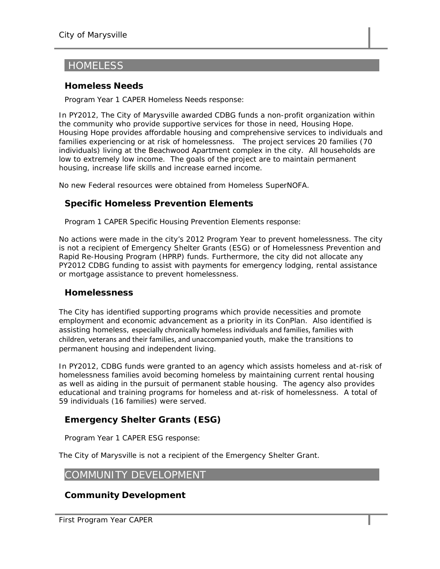# **HOMELESS**

#### **Homeless Needs**

Program Year 1 CAPER Homeless Needs response:

In PY2012, The City of Marysville awarded CDBG funds a non-profit organization within the community who provide supportive services for those in need, Housing Hope. Housing Hope provides affordable housing and comprehensive services to individuals and families experiencing or at risk of homelessness. The project services 20 families (70 individuals) living at the Beachwood Apartment complex in the city. All households are low to extremely low income. The goals of the project are to maintain permanent housing, increase life skills and increase earned income.

No new Federal resources were obtained from Homeless SuperNOFA.

#### **Specific Homeless Prevention Elements**

Program 1 CAPER Specific Housing Prevention Elements response:

No actions were made in the city's 2012 Program Year to prevent homelessness. The city is not a recipient of Emergency Shelter Grants (ESG) or of Homelessness Prevention and Rapid Re-Housing Program (HPRP) funds. Furthermore, the city did not allocate any PY2012 CDBG funding to assist with payments for emergency lodging, rental assistance or mortgage assistance to prevent homelessness.

#### **Homelessness**

The City has identified supporting programs which provide necessities and promote employment and economic advancement as a priority in its ConPlan. Also identified is assisting homeless, especially chronically homeless individuals and families, families with children, veterans and their families, and unaccompanied youth, make the transitions to permanent housing and independent living.

In PY2012, CDBG funds were granted to an agency which assists homeless and at-risk of homelessness families avoid becoming homeless by maintaining current rental housing as well as aiding in the pursuit of permanent stable housing. The agency also provides educational and training programs for homeless and at-risk of homelessness. A total of 59 individuals (16 families) were served.

# **Emergency Shelter Grants (ESG)**

Program Year 1 CAPER ESG response:

The City of Marysville is not a recipient of the Emergency Shelter Grant.

#### COMMUNITY DEVELOPMENT

#### **Community Development**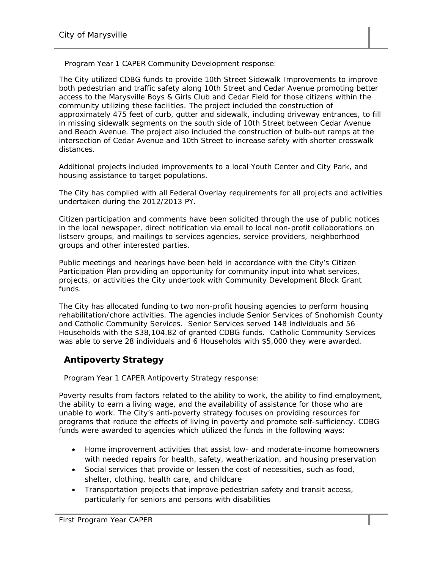Program Year 1 CAPER Community Development response:

The City utilized CDBG funds to provide 10th Street Sidewalk Improvements to improve both pedestrian and traffic safety along 10th Street and Cedar Avenue promoting better access to the Marysville Boys & Girls Club and Cedar Field for those citizens within the community utilizing these facilities. The project included the construction of approximately 475 feet of curb, gutter and sidewalk, including driveway entrances, to fill in missing sidewalk segments on the south side of 10th Street between Cedar Avenue and Beach Avenue. The project also included the construction of bulb-out ramps at the intersection of Cedar Avenue and 10th Street to increase safety with shorter crosswalk distances.

Additional projects included improvements to a local Youth Center and City Park, and housing assistance to target populations.

The City has complied with all Federal Overlay requirements for all projects and activities undertaken during the 2012/2013 PY.

Citizen participation and comments have been solicited through the use of public notices in the local newspaper, direct notification via email to local non-profit collaborations on listserv groups, and mailings to services agencies, service providers, neighborhood groups and other interested parties.

Public meetings and hearings have been held in accordance with the City's Citizen Participation Plan providing an opportunity for community input into what services, projects, or activities the City undertook with Community Development Block Grant funds.

The City has allocated funding to two non-profit housing agencies to perform housing rehabilitation/chore activities. The agencies include Senior Services of Snohomish County and Catholic Community Services. Senior Services served 148 individuals and 56 Households with the \$38,104.82 of granted CDBG funds. Catholic Community Services was able to serve 28 individuals and 6 Households with \$5,000 they were awarded.

#### **Antipoverty Strategy**

Program Year 1 CAPER Antipoverty Strategy response:

Poverty results from factors related to the ability to work, the ability to find employment, the ability to earn a living wage, and the availability of assistance for those who are unable to work. The City's anti-poverty strategy focuses on providing resources for programs that reduce the effects of living in poverty and promote self-sufficiency. CDBG funds were awarded to agencies which utilized the funds in the following ways:

- Home improvement activities that assist low- and moderate-income homeowners with needed repairs for health, safety, weatherization, and housing preservation
- Social services that provide or lessen the cost of necessities, such as food, shelter, clothing, health care, and childcare
- Transportation projects that improve pedestrian safety and transit access, particularly for seniors and persons with disabilities